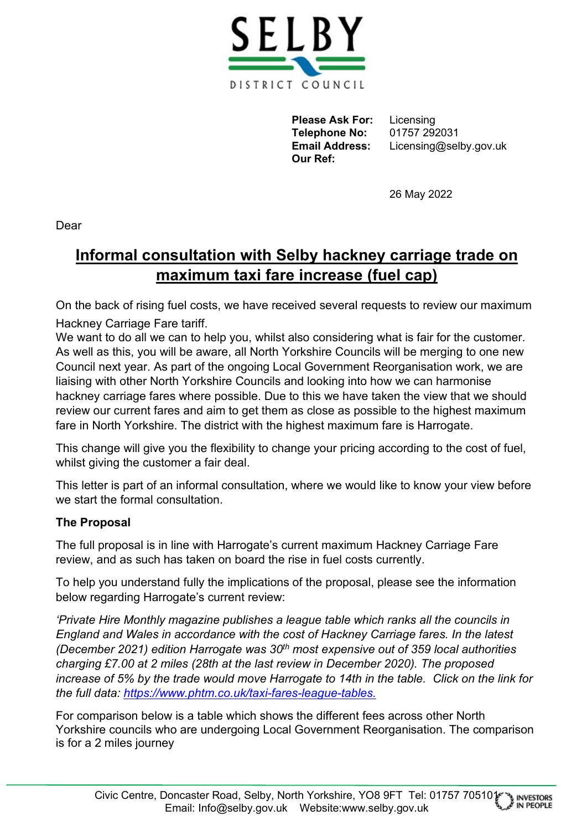

**Please Ask For:** Licensing **Telephone No:** 01757 292031 **Our Ref:**

**Email Address:** Licensing@selby.gov.uk

26 May 2022

Dear

## **Informal consultation with Selby hackney carriage trade on maximum taxi fare increase (fuel cap)**

On the back of rising fuel costs, we have received several requests to review our maximum

Hackney Carriage Fare tariff.

We want to do all we can to help you, whilst also considering what is fair for the customer. As well as this, you will be aware, all North Yorkshire Councils will be merging to one new Council next year. As part of the ongoing Local Government Reorganisation work, we are liaising with other North Yorkshire Councils and looking into how we can harmonise hackney carriage fares where possible. Due to this we have taken the view that we should review our current fares and aim to get them as close as possible to the highest maximum fare in North Yorkshire. The district with the highest maximum fare is Harrogate.

This change will give you the flexibility to change your pricing according to the cost of fuel, whilst giving the customer a fair deal.

This letter is part of an informal consultation, where we would like to know your view before we start the formal consultation.

## **The Proposal**

The full proposal is in line with Harrogate's current maximum Hackney Carriage Fare review, and as such has taken on board the rise in fuel costs currently.

To help you understand fully the implications of the proposal, please see the information below regarding Harrogate's current review:

*'Private Hire Monthly magazine publishes a league table which ranks all the councils in England and Wales in accordance with the cost of Hackney Carriage fares. In the latest (December 2021) edition Harrogate was 30th most expensive out of 359 local authorities charging £7.00 at 2 miles (28th at the last review in December 2020). The proposed increase of 5% by the trade would move Harrogate to 14th in the table. Click on the link for the full data: [https://www.phtm.co.uk/taxi-fares-league-tables.](https://www.phtm.co.uk/taxi-fares-league-tables)* 

For comparison below is a table which shows the different fees across other North Yorkshire councils who are undergoing Local Government Reorganisation. The comparison is for a 2 miles journey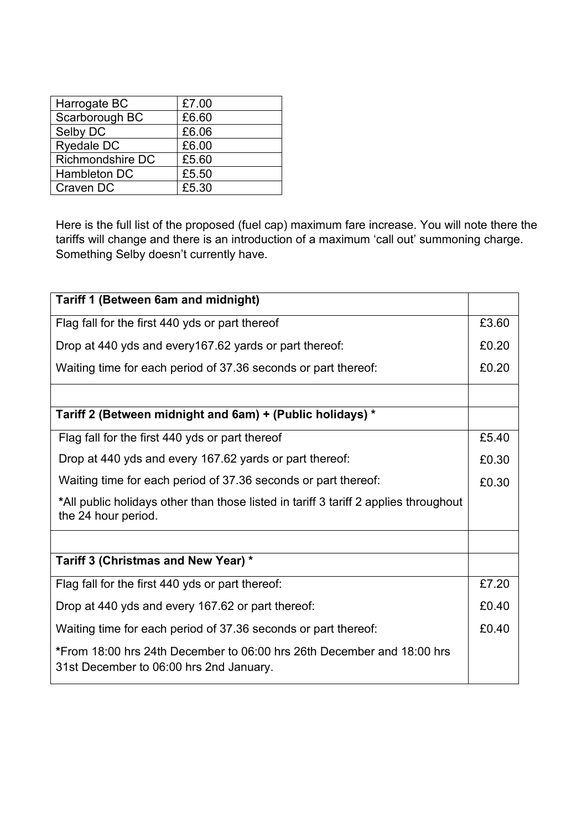| Harrogate BC            | £7.00 |
|-------------------------|-------|
| Scarborough BC          | £6.60 |
| Selby DC                | £6.06 |
| <b>Ryedale DC</b>       | £6.00 |
| <b>Richmondshire DC</b> | £5.60 |
| <b>Hambleton DC</b>     | £5.50 |
| Craven DC               | £5.30 |

Here is the full list of the proposed (fuel cap) maximum fare increase. You will note there the tariffs will change and there is an introduction of a maximum 'call out' summoning charge. Something Selby doesn't currently have.

| <b>Tariff 1 (Between 6am and midnight)</b>                                                                        |  |
|-------------------------------------------------------------------------------------------------------------------|--|
| Flag fall for the first 440 yds or part thereof                                                                   |  |
| Drop at 440 yds and every 167.62 yards or part thereof:                                                           |  |
| Waiting time for each period of 37.36 seconds or part thereof:                                                    |  |
|                                                                                                                   |  |
| Tariff 2 (Between midnight and 6am) + (Public holidays) *                                                         |  |
| Flag fall for the first 440 yds or part thereof                                                                   |  |
| Drop at 440 yds and every 167.62 yards or part thereof:                                                           |  |
| Waiting time for each period of 37.36 seconds or part thereof:                                                    |  |
| *All public holidays other than those listed in tariff 3 tariff 2 applies throughout<br>the 24 hour period.       |  |
|                                                                                                                   |  |
| Tariff 3 (Christmas and New Year) *                                                                               |  |
| Flag fall for the first 440 yds or part thereof:                                                                  |  |
| Drop at 440 yds and every 167.62 or part thereof:                                                                 |  |
| Waiting time for each period of 37.36 seconds or part thereof:                                                    |  |
| *From 18:00 hrs 24th December to 06:00 hrs 26th December and 18:00 hrs<br>31st December to 06:00 hrs 2nd January. |  |